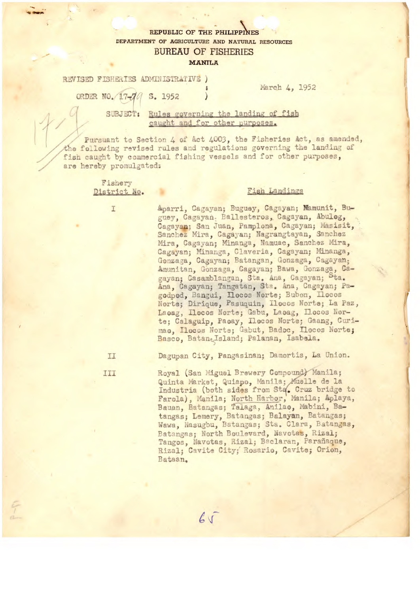## REPUBLIC OF THE PHILIPPINES DEPARTMENT OF AGRICULTURE AND NATURAL RESOURCES **BUREAU OF FISHERIES**

## **MANILA**

REVISED FISHERIES ADMINISTRATIVE )

March 4, 1952

ORDER NO. 17-70 S. 1952

SUBJECT: Rules governing the landing of fish caught and for other purposes.

Pursuant to Section 4 of Act 4003, the Fisheries Act, as amended, the following revised rules and regulations governing the landing of fish caught by commercial fishing vessels and for other purposes, are hereby promulgated:

> Fishery District No.

> > I

## Fish Landings

Aparri, Cagayan; Buguey, Cagayan; Mamunit, Buguey, Cagayan. Ballesteros, Cagayan, Abulog, Cagayan; San Juan, Pamplona, Cagayan; Masisit, Sanchez Mira, Cagayan; Nagrangtayan, Sanchez Mira, Cagayan; Minanga, Namuac, Sanchez Mira, Cagayan; Minanga, Claveria, Cagayan; Minanga, Gonzaga, Cagayan; Batangan, Gonzaga, Cagayan;<br>Amunitan, Gonzaga, Cagayan; Bawa, Gonzaga, Cagayan; Casamblangan, Sta. Ana, Cagayan; Sta. Ana, Cagayan; Tangatan, Sta. Ana, Cagayan; Pagodpod, Bangui, Ilocos Norte; Bubon, Ilocos Norte; Dirique, Pasuquin, Ilocos Norte; La Paz, Laoag, Ilocos Norte; Gabu, Laoag, Ilocos Norte; Calaguip, Paeay, Ilecos Norte; Gaang, Curimao, Ilocos Norte; Gabut, Badoc, Ilocos Norte; Basco, BataneIsland; Palanan, Isabela.

II

III

Dagupan City, Pangasinan; Damortis, La Union.

Royal (San Miguel Brewery Compound) Manila; Quinta Market, Quiapo, Manila; Muelle de la Industria (both sides from Sta. Cruz bridge to Farola), Manila; North Harbor, Manila; Aplaya, Bauan, Batangas; Talaga, Anilao, Mabini, Batangas; Lemery, Batangas; Balayan, Batangas; Wawa, Nasugbu, Batangas; Sta. Clara, Batangas, Batangas; North Boulevard, Navotas, Rizal; Tangos, Navotas, Rizal; Baclaran, Parañaque, Rizal; Cavite City; Rosario, Cavite; Orion, Bataan.

 $65$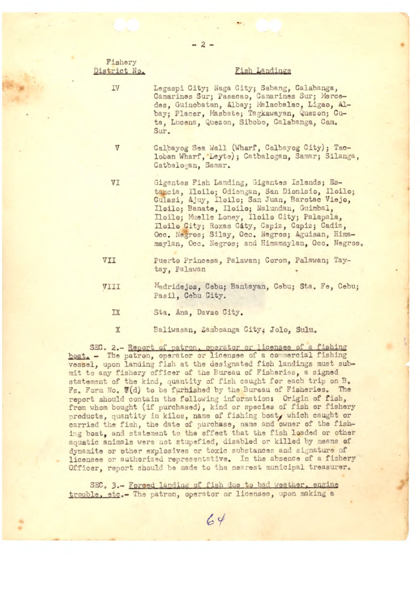| Fishery<br>District No. | Fish Landings                                                                                                                                                                                                                                                                                                                                                                                            |
|-------------------------|----------------------------------------------------------------------------------------------------------------------------------------------------------------------------------------------------------------------------------------------------------------------------------------------------------------------------------------------------------------------------------------------------------|
| IV                      | Legaspi City; Naga City; Sabang, Calabanga,<br>Camarines Sur; Pasacao, Camarines Sur; Merce-<br>des, Guinobatan, Albay; Malacbalac, Ligao, Al-<br>bay; Placer, Masbate; Tagkawayan, Quezon; Cu-<br>ta, Lucena, Quezon, Sibobo, Calabanga, Cam.<br>Sur.                                                                                                                                                   |
| V                       | Calbayog Sea Wall (Wharf, Calbayog City); Tac-<br>loban Wharf, Leyte); Catbalogan, Samar; Silanga,<br>Catbalogan, Samar.                                                                                                                                                                                                                                                                                 |
| VI                      | Gigantes Fish Landing, Gigantes Islands; Es-<br>tancia, Iloilo; Odiongan, San Dionisio, Iloilo;<br>Gulasi, Ajuy, Iloilo; San Juan, Barotac Viejo,<br>Ilcilo; Banate, Ilcilo; Nalundan, Guimbal,<br>Iloilo; Muelle Loney, Iloilo City; Palapala,<br>Iloilo City; Roxas City, Capiz, Capiz; Cadiz,<br>Occ. Negros; Silay, Occ. Negros; Aguisan, Hima-<br>maylan, Occ. Negros; and Himamaylan, Occ. Negros. |
| VII                     | Puerto Princesa, Palawan; Coron, Palawan; Tay-<br>tay, Palawan                                                                                                                                                                                                                                                                                                                                           |
| <b>TILV</b>             | Madridejos, Cebu; Bantayan, Cebu; Sta. Fe, Cebu;<br>Pasil, Cebu City.                                                                                                                                                                                                                                                                                                                                    |
| IX                      | Sta. Ana, Davae City.                                                                                                                                                                                                                                                                                                                                                                                    |
| $\mathbf{v}$            | Balizzagen Zamboange City, Iolo Sulu                                                                                                                                                                                                                                                                                                                                                                     |

SEC. 2.- Report of patron, operator or licensee of a fishing boat. - The patron, operator or licensee of a commercial fishing vessel, upon landing fish at the designated fish landings must submit to any fishery officer of the Bureau of Fisheries, a signed statement of the kind, quantity of fish caught for each trip on B. Fs. Form No. 7(d) to be furnished by the Bureau of Fisheries. The report should contain the following information: Origin of fish, from whom bought (if purchased), kind or species of fish or fishery products, quantity in kilos, name of fishing boat, which caught or carried the fish, the date of purchase, name and owner of the fishing boat, and statement to the effect that the fish loaded or other aquatic animals were not stupefied, disabled or killed by means of dynamite or other explosives or toxic substances and signature of licensee or authorized representative. In the absence of a fishery Officer, report should be made to the nearest municipal treasurer.

SEC. 3.- Forced landing of fish due to bad weather, engine trouble, etc.- The patron, operator or licensee, upon making a